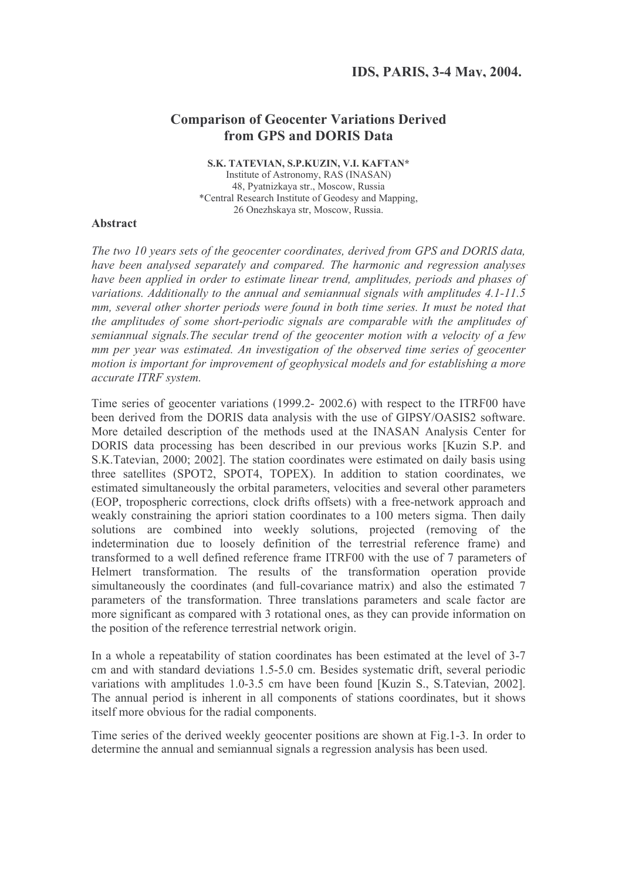## **Comparison of Geocenter Variations Derived** from GPS and DORIS Data

S.K. TATEVIAN, S.P.KUZIN, V.I. KAFTAN\* Institute of Astronomy, RAS (INASAN) 48, Pyatnizkaya str., Moscow, Russia \*Central Research Institute of Geodesy and Mapping, 26 Onezhskaya str, Moscow, Russia.

## **Abstract**

The two 10 years sets of the geocenter coordinates, derived from GPS and DORIS data, have been analysed separately and compared. The harmonic and regression analyses have been applied in order to estimate linear trend, amplitudes, periods and phases of variations. Additionally to the annual and semiannual signals with amplitudes  $4.1$ -11.5 mm, several other shorter periods were found in both time series. It must be noted that the amplitudes of some short-periodic signals are comparable with the amplitudes of semiannual signals. The secular trend of the geocenter motion with a velocity of a few mm per year was estimated. An investigation of the observed time series of geocenter motion is important for improvement of geophysical models and for establishing a more accurate ITRF system.

Time series of geocenter variations (1999.2- 2002.6) with respect to the ITRF00 have been derived from the DORIS data analysis with the use of GIPSY/OASIS2 software. More detailed description of the methods used at the INASAN Analysis Center for DORIS data processing has been described in our previous works [Kuzin S.P. and S.K.Tatevian, 2000; 2002]. The station coordinates were estimated on daily basis using three satellites (SPOT2, SPOT4, TOPEX). In addition to station coordinates, we estimated simultaneously the orbital parameters, velocities and several other parameters (EOP, tropospheric corrections, clock drifts offsets) with a free-network approach and weakly constraining the apriori station coordinates to a 100 meters sigma. Then daily solutions are combined into weekly solutions, projected (removing of the indetermination due to loosely definition of the terrestrial reference frame) and transformed to a well defined reference frame ITRF00 with the use of 7 parameters of Helmert transformation. The results of the transformation operation provide simultaneously the coordinates (and full-covariance matrix) and also the estimated 7 parameters of the transformation. Three translations parameters and scale factor are more significant as compared with 3 rotational ones, as they can provide information on the position of the reference terrestrial network origin.

In a whole a repeatability of station coordinates has been estimated at the level of 3-7 em and with standard deviations 1.5-5.0 cm. Besides systematic drift, several periodic variations with amplitudes 1.0-3.5 cm have been found [Kuzin S., S. Tatevian, 2002]. The annual period is inherent in all components of stations coordinates, but it shows itself more obvious for the radial components.

Time series of the derived weekly geocenter positions are shown at Fig.1-3. In order to determine the annual and semiannual signals a regression analysis has been used.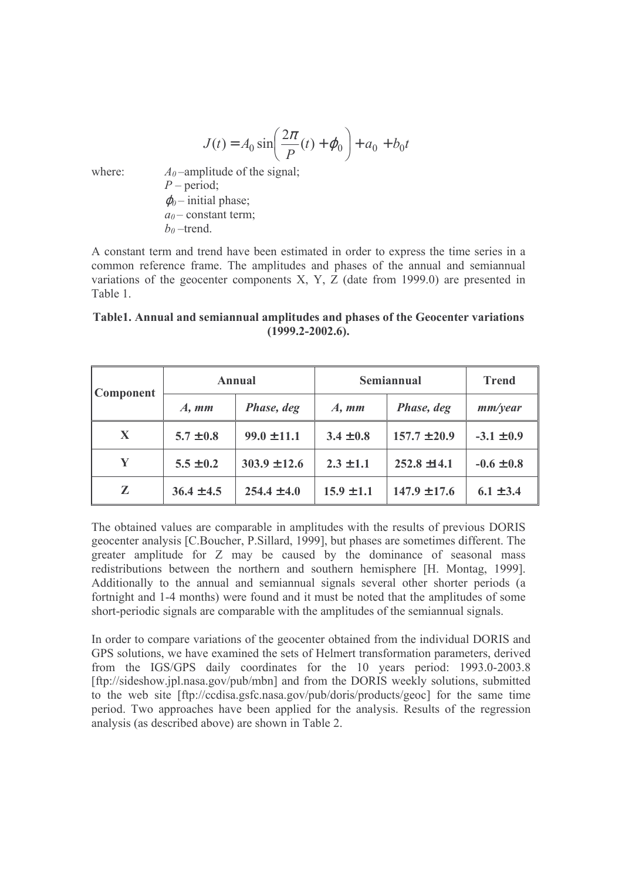$$
J(t) = A_0 \sin\left(\frac{2\pi}{P}(t) + \varphi_0\right) + a_0 + b_0 t
$$

where:

 $A_0$ -amplitude of the signal;  $P$  – period;  $\varphi_0$  – initial phase;  $a_0$  – constant term;  $b_0$ -trend.

A constant term and trend have been estimated in order to express the time series in a common reference frame. The amplitudes and phases of the annual and semiannual variations of the geocenter components  $X$ ,  $Y$ ,  $Z$  (date from 1999.0) are presented in Table 1

Table1. Annual and semiannual amplitudes and phases of the Geocenter variations  $(1999.2 - 2002.6)$ .

| <b>Component</b> | Annual         |                  | Semiannual                |                  | <b>Trend</b>   |
|------------------|----------------|------------------|---------------------------|------------------|----------------|
|                  | $A, \,mm$      | Phase, deg       | $A, \mathbf{m}\mathbf{m}$ | Phase, deg       | mm/year        |
| X                | $5.7 \pm 0.8$  | $99.0 \pm 11.1$  | $3.4 \pm 0.8$             | $157.7 \pm 20.9$ | $-3.1 \pm 0.9$ |
| Y                | $5.5 \pm 0.2$  | $303.9 \pm 12.6$ | $2.3 \pm 1.1$             | $252.8 \pm 14.1$ | $-0.6 \pm 0.8$ |
| Z                | $36.4 \pm 4.5$ | $254.4 \pm 4.0$  | $15.9 \pm 1.1$            | $147.9 \pm 17.6$ | $6.1 \pm 3.4$  |

The obtained values are comparable in amplitudes with the results of previous DORIS geocenter analysis [C.Boucher, P.Sillard, 1999], but phases are sometimes different. The greater amplitude for Z may be caused by the dominance of seasonal mass redistributions between the northern and southern hemisphere [H. Montag, 1999]. Additionally to the annual and semiannual signals several other shorter periods (a fortnight and 1-4 months) were found and it must be noted that the amplitudes of some short-periodic signals are comparable with the amplitudes of the semiannual signals.

In order to compare variations of the geocenter obtained from the individual DORIS and GPS solutions, we have examined the sets of Helmert transformation parameters, derived from the IGS/GPS daily coordinates for the 10 years period: 1993.0-2003.8 [ftp://sideshow.ipl.nasa.gov/pub/mbn] and from the DORIS weekly solutions, submitted to the web site fftp://ccdisa.gsfc.nasa.gov/pub/doris/products/geocl for the same time period. Two approaches have been applied for the analysis. Results of the regression analysis (as described above) are shown in Table 2.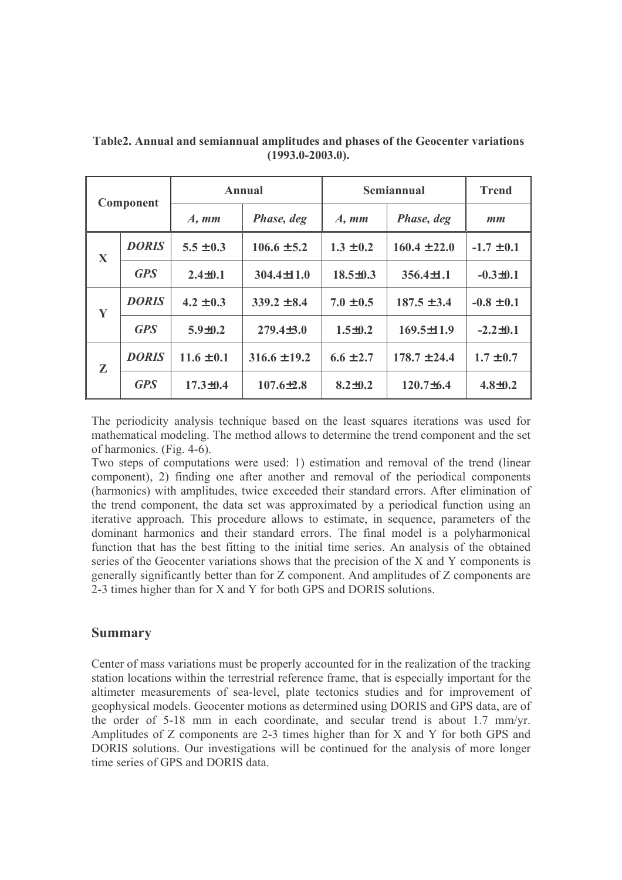| <b>Component</b> |              | <b>Annual</b>             |                  | Semiannual                |                  | <b>Trend</b>                   |
|------------------|--------------|---------------------------|------------------|---------------------------|------------------|--------------------------------|
|                  |              | $A, \mathbf{m}\mathbf{m}$ | Phase, deg       | $A, \mathbf{m}\mathbf{m}$ | Phase, deg       | $\boldsymbol{m}\boldsymbol{m}$ |
| X                | <b>DORIS</b> | $5.5 \pm 0.3$             | $106.6 \pm 5.2$  | $1.3 \pm 0.2$             | $160.4 \pm 22.0$ | $-1.7 \pm 0.1$                 |
|                  | <b>GPS</b>   | $2.4 \pm 0.1$             | $304.4 \pm 11.0$ | $18.5 \pm 0.3$            | $356.4 \pm 1.1$  | $-0.3 \pm 0.1$                 |
| Y                | <b>DORIS</b> | $4.2 \pm 0.3$             | $339.2 \pm 8.4$  | $7.0 \pm 0.5$             | $187.5 \pm 3.4$  | $-0.8 \pm 0.1$                 |
|                  | <b>GPS</b>   | $5.9 \pm 0.2$             | $279.4 \pm 3.0$  | $1.5 \pm 0.2$             | $169.5 \pm 11.9$ | $-2.2 \pm 0.1$                 |
| $\mathbf{z}$     | <b>DORIS</b> | $11.6 \pm 0.1$            | $316.6 \pm 19.2$ | $6.6 \pm 2.7$             | $178.7 \pm 24.4$ | $1.7 \pm 0.7$                  |
|                  | <b>GPS</b>   | $17.3 \pm 0.4$            | $107.6{\pm}2.8$  | $8.2 \pm 0.2$             | $120.7 \pm 6.4$  | $4.8 \pm 0.2$                  |

Table 2. Annual and semiannual amplitudes and phases of the Geocenter variations  $(1993.0 - 2003.0)$ .

The periodicity analysis technique based on the least squares iterations was used for mathematical modeling. The method allows to determine the trend component and the set of harmonics. (Fig. 4-6).

Two steps of computations were used: 1) estimation and removal of the trend (linear component), 2) finding one after another and removal of the periodical components (harmonics) with amplitudes, twice exceeded their standard errors. After elimination of the trend component, the data set was approximated by a periodical function using an iterative approach. This procedure allows to estimate, in sequence, parameters of the dominant harmonics and their standard errors. The final model is a polyharmonical function that has the best fitting to the initial time series. An analysis of the obtained series of the Geocenter variations shows that the precision of the X and Y components is generally significantly better than for Z component. And amplitudes of Z components are 2-3 times higher than for X and Y for both GPS and DORIS solutions.

## **Summary**

Center of mass variations must be properly accounted for in the realization of the tracking station locations within the terrestrial reference frame, that is especially important for the altimeter measurements of sea-level, plate tectonics studies and for improvement of geophysical models. Geocenter motions as determined using DORIS and GPS data, are of the order of 5-18 mm in each coordinate, and secular trend is about 1.7 mm/yr. Amplitudes of Z components are 2-3 times higher than for X and Y for both GPS and DORIS solutions. Our investigations will be continued for the analysis of more longer time series of GPS and DORIS data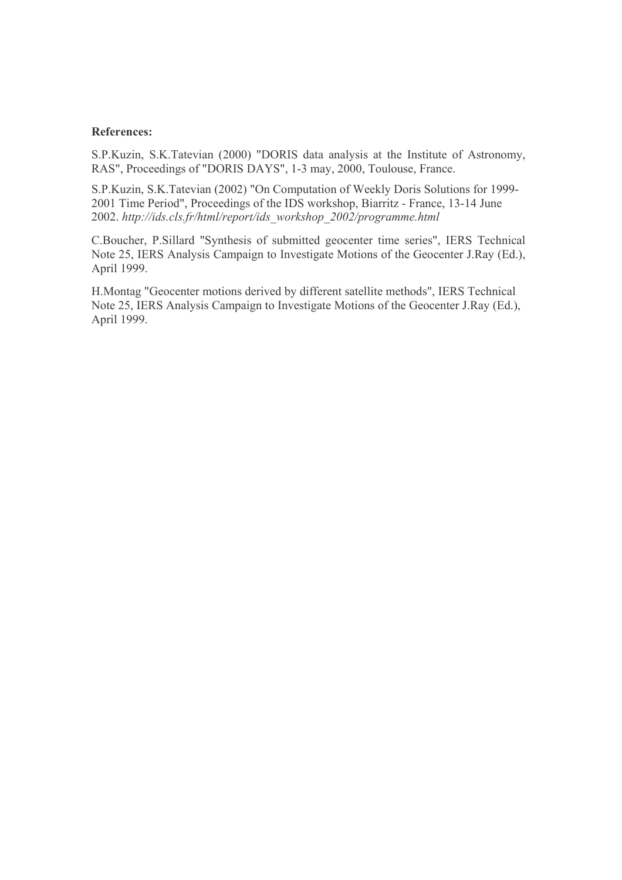## **References:**

S.P.Kuzin, S.K.Tatevian (2000) "DORIS data analysis at the Institute of Astronomy, RAS", Proceedings of "DORIS DAYS", 1-3 may, 2000, Toulouse, France.

S.P.Kuzin, S.K.Tatevian (2002) "On Computation of Weekly Doris Solutions for 1999-2001 Time Period", Proceedings of the IDS workshop, Biarritz - France, 13-14 June 2002. http://ids.cls.fr/html/report/ids workshop 2002/programme.html

C.Boucher, P.Sillard "Synthesis of submitted geocenter time series", IERS Technical Note 25, IERS Analysis Campaign to Investigate Motions of the Geocenter J.Ray (Ed.), April 1999.

H.Montag "Geocenter motions derived by different satellite methods", IERS Technical Note 25, IERS Analysis Campaign to Investigate Motions of the Geocenter J.Ray (Ed.), April 1999.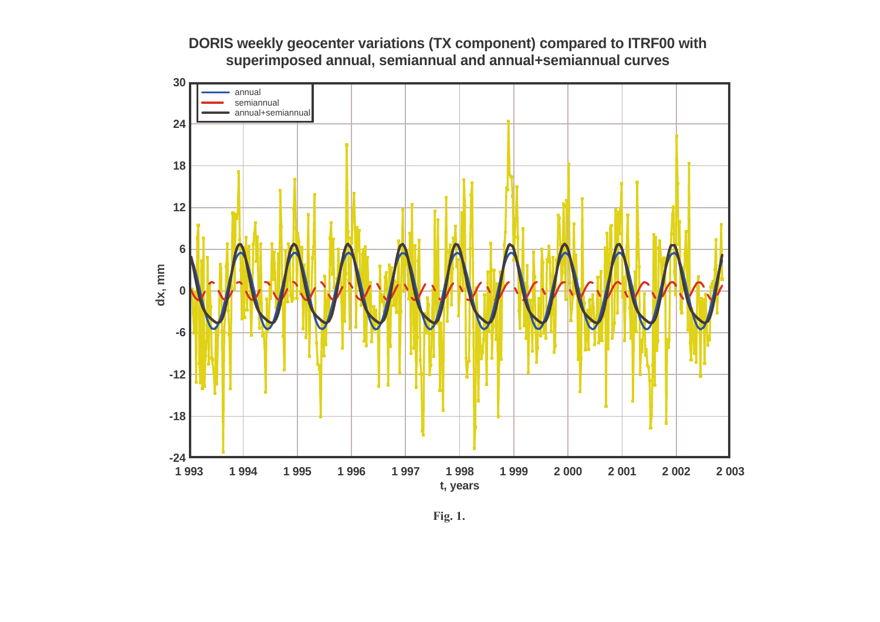



Fig. 1.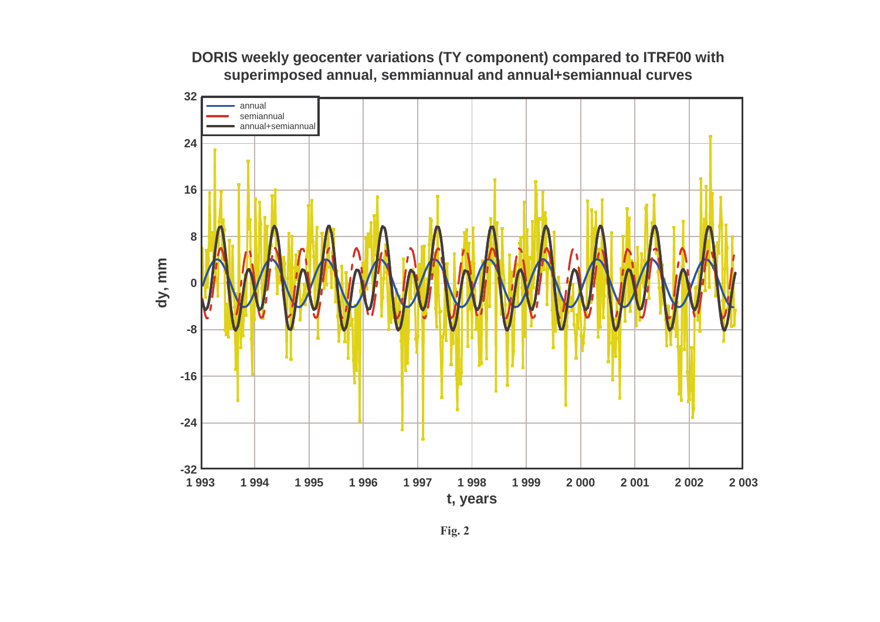**DORIS weekly geocenter variations (TY component) compared to ITRF00 withsuperimposed annual, semmiannual and annual+semiannual curves**

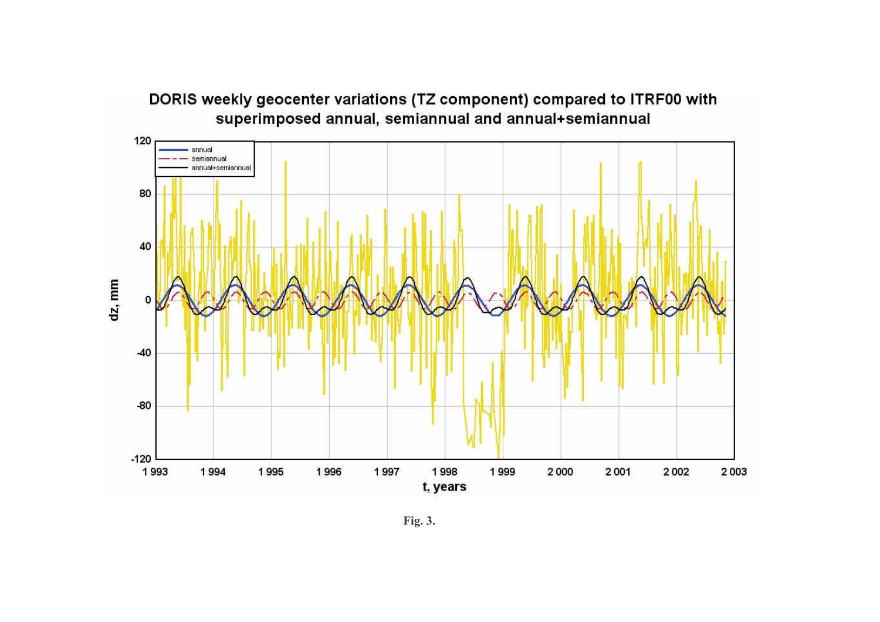

Fig. 3.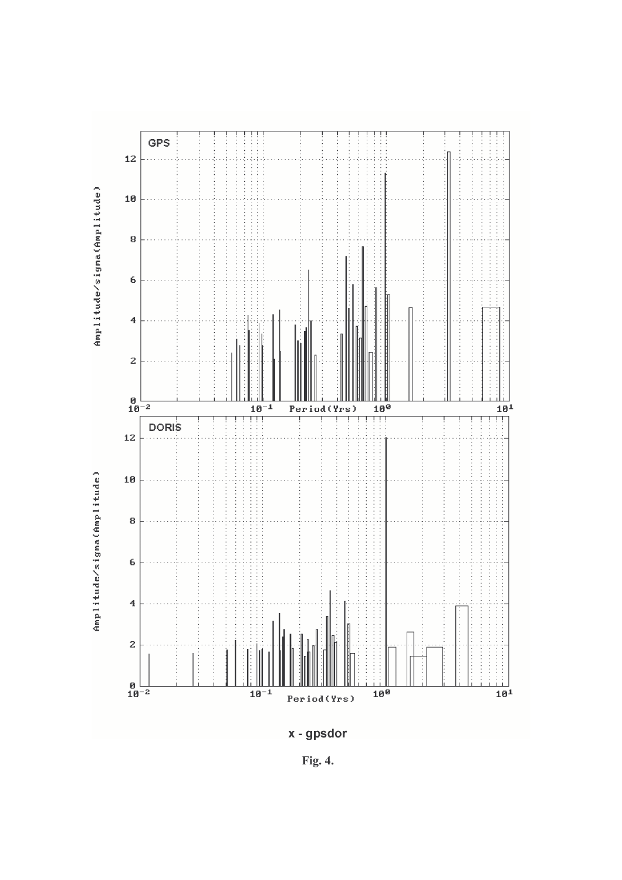

Fig. 4.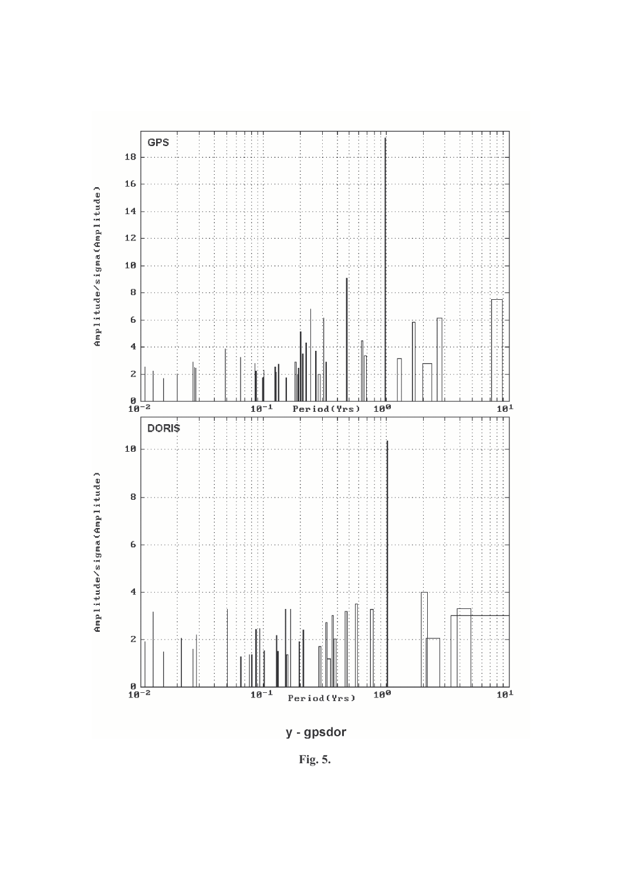

Fig. 5.